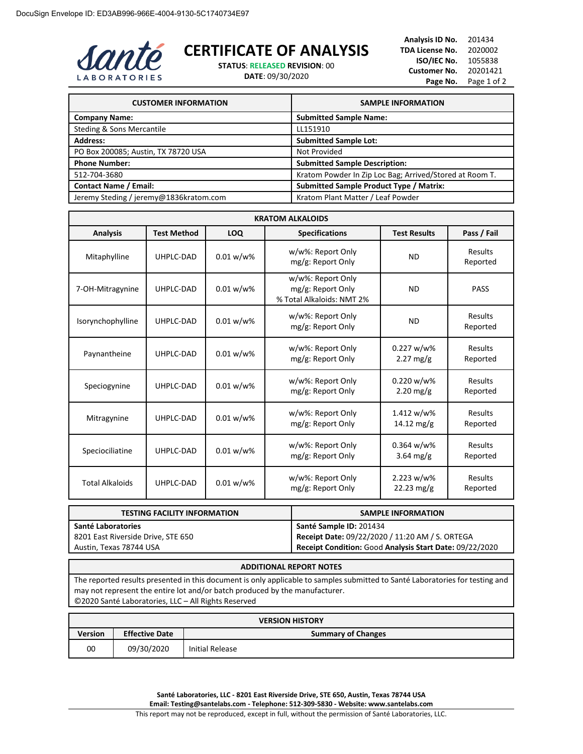

## **CERTIFICATE OF ANALYSIS**

**STATUS**: **RELEASED REVISION**: 00 **DATE**: 09/30/2020

**Analysis ID No.** 201434 **TDA License No.** 2020002 **ISO/IEC No.** 1055838 **Customer No.** 20201421 Page No. Page 1 of 2

| <b>CUSTOMER INFORMATION</b>            | <b>SAMPLE INFORMATION</b>                               |
|----------------------------------------|---------------------------------------------------------|
| <b>Company Name:</b>                   | <b>Submitted Sample Name:</b>                           |
| Steding & Sons Mercantile              | LL151910                                                |
| <b>Address:</b>                        | <b>Submitted Sample Lot:</b>                            |
| PO Box 200085; Austin, TX 78720 USA    | Not Provided                                            |
| <b>Phone Number:</b>                   | <b>Submitted Sample Description:</b>                    |
| 512-704-3680                           | Kratom Powder In Zip Loc Bag; Arrived/Stored at Room T. |
| <b>Contact Name / Email:</b>           | <b>Submitted Sample Product Type / Matrix:</b>          |
| Jeremy Steding / jeremy@1836kratom.com | Kratom Plant Matter / Leaf Powder                       |

| <b>KRATOM ALKALOIDS</b> |                    |              |                                                                     |                                       |                     |
|-------------------------|--------------------|--------------|---------------------------------------------------------------------|---------------------------------------|---------------------|
| <b>Analysis</b>         | <b>Test Method</b> | LOQ          | <b>Specifications</b>                                               | <b>Test Results</b>                   | Pass / Fail         |
| Mitaphylline            | UHPLC-DAD          | $0.01 w/w$ % | w/w%: Report Only<br>mg/g: Report Only                              | <b>ND</b>                             | Results<br>Reported |
| 7-OH-Mitragynine        | UHPLC-DAD          | $0.01 w/w$ % | w/w%: Report Only<br>mg/g: Report Only<br>% Total Alkaloids: NMT 2% | <b>ND</b>                             | <b>PASS</b>         |
| Isorynchophylline       | UHPLC-DAD          | $0.01 w/w$ % | w/w%: Report Only<br>mg/g: Report Only                              | <b>ND</b>                             | Results<br>Reported |
| Paynantheine            | UHPLC-DAD          | $0.01 w/w$ % | w/w%: Report Only<br>mg/g: Report Only                              | 0.227 w/w%<br>$2.27$ mg/g             | Results<br>Reported |
| Speciogynine            | UHPLC-DAD          | $0.01 w/w$ % | w/w%: Report Only<br>mg/g: Report Only                              | $0.220 w/w$ %<br>$2.20$ mg/g          | Results<br>Reported |
| Mitragynine             | UHPLC-DAD          | $0.01 w/w$ % | w/w%: Report Only<br>mg/g: Report Only                              | 1.412 w/w%<br>$14.12 \,\mathrm{mg/g}$ | Results<br>Reported |
| Speciociliatine         | UHPLC-DAD          | $0.01 w/w$ % | w/w%: Report Only<br>mg/g: Report Only                              | 0.364 w/w%<br>3.64 mg/g               | Results<br>Reported |
| <b>Total Alkaloids</b>  | UHPLC-DAD          | $0.01 w/w$ % | w/w%: Report Only<br>mg/g: Report Only                              | 2.223 w/w%<br>$22.23 \text{ mg/g}$    | Results<br>Reported |

| <b>TESTING FACILITY INFORMATION</b> | <b>SAMPLE INFORMATION</b>                               |
|-------------------------------------|---------------------------------------------------------|
| Santé Laboratories                  | Santé Sample ID: 201434                                 |
| 8201 East Riverside Drive, STE 650  | Receipt Date: 09/22/2020 / 11:20 AM / S. ORTEGA         |
| Austin, Texas 78744 USA             | Receipt Condition: Good Analysis Start Date: 09/22/2020 |

## **ADDITIONAL REPORT NOTES**

The reported results presented in this document is only applicable to samples submitted to Santé Laboratories for testing and may not represent the entire lot and/or batch produced by the manufacturer. ©2020 Santé Laboratories, LLC – All Rights Reserved

| <b>VERSION HISTORY</b> |                       |                           |  |
|------------------------|-----------------------|---------------------------|--|
| <b>Version</b>         | <b>Effective Date</b> | <b>Summary of Changes</b> |  |
| 00                     | 09/30/2020            | Initial Release           |  |

**Santé Laboratories, LLC - 8201 East Riverside Drive, STE 650, Austin, Texas 78744 USA Email: Testing@santelabs.com - Telephone: 512-309-5830 - Website: www.santelabs.com**